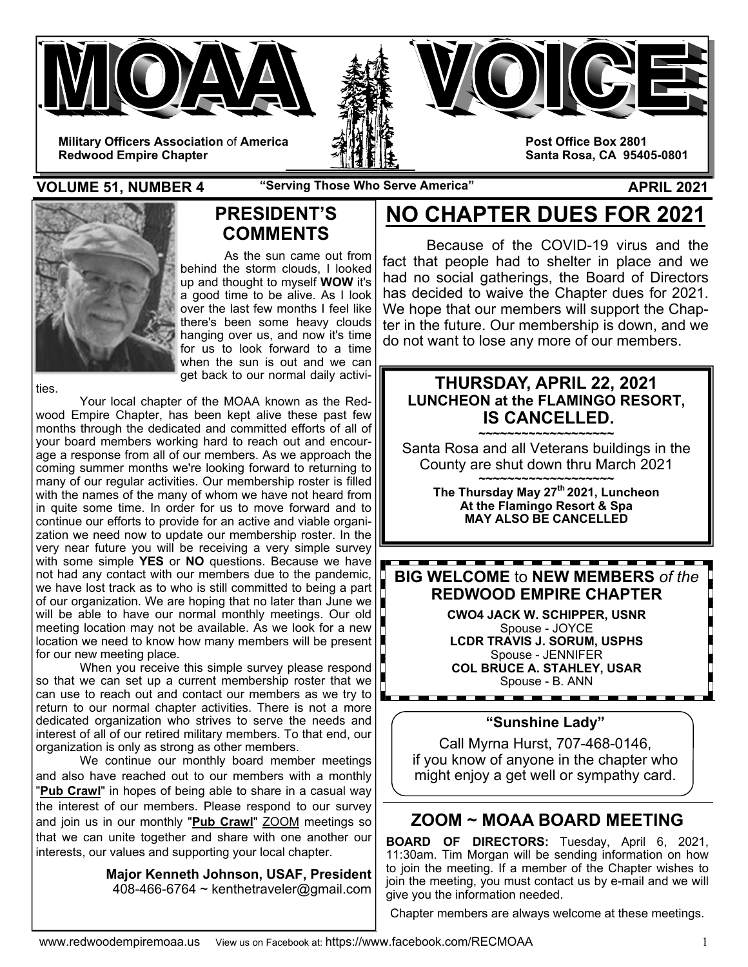

**VOLUME 51, NUMBER 4** "Serving Those Who Serve America" APRIL 2021



## **PRESIDENT'S COMMENTS**

 As the sun came out from behind the storm clouds, I looked up and thought to myself **WOW** it's a good time to be alive. As I look over the last few months I feel like there's been some heavy clouds hanging over us, and now it's time for us to look forward to a time when the sun is out and we can get back to our normal daily activi-

ties.

 Your local chapter of the MOAA known as the Redwood Empire Chapter, has been kept alive these past few months through the dedicated and committed efforts of all of your board members working hard to reach out and encourage a response from all of our members. As we approach the coming summer months we're looking forward to returning to many of our regular activities. Our membership roster is filled with the names of the many of whom we have not heard from in quite some time. In order for us to move forward and to continue our efforts to provide for an active and viable organization we need now to update our membership roster. In the very near future you will be receiving a very simple survey with some simple **YES** or **NO** questions. Because we have not had any contact with our members due to the pandemic, we have lost track as to who is still committed to being a part of our organization. We are hoping that no later than June we will be able to have our normal monthly meetings. Our old meeting location may not be available. As we look for a new location we need to know how many members will be present for our new meeting place.

 When you receive this simple survey please respond so that we can set up a current membership roster that we can use to reach out and contact our members as we try to return to our normal chapter activities. There is not a more dedicated organization who strives to serve the needs and interest of all of our retired military members. To that end, our organization is only as strong as other members.

We continue our monthly board member meetings and also have reached out to our members with a monthly "**Pub Crawl**" in hopes of being able to share in a casual way the interest of our members. Please respond to our survey and join us in our monthly "**Pub Crawl**" ZOOM meetings so that we can unite together and share with one another our interests, our values and supporting your local chapter.

> **Major Kenneth Johnson, USAF, President**  408-466-6764  $\sim$  kenthetraveler@gmail.com

# **NO CHAPTER DUES FOR 2021**

Because of the COVID-19 virus and the fact that people had to shelter in place and we had no social gatherings, the Board of Directors has decided to waive the Chapter dues for 2021. We hope that our members will support the Chapter in the future. Our membership is down, and we do not want to lose any more of our members.

## **THURSDAY, APRIL 22, 2021 LUNCHEON at the FLAMINGO RESORT, IS CANCELLED.**

**~~~~~~~~~~~~~~~~~~~**  Santa Rosa and all Veterans buildings in the County are shut down thru March 2021

**~~~~~~~~~~~~~~~~~~~ The Thursday May 27th 2021, Luncheon At the Flamingo Resort & Spa MAY ALSO BE CANCELLED** 

\_\_\_\_\_\_\_\_\_\_\_\_\_\_\_\_\_\_\_\_\_\_\_\_ **BIG WELCOME** to **NEW MEMBERS** *of the* **REDWOOD EMPIRE CHAPTER** 

> **CWO4 JACK W. SCHIPPER, USNR** Spouse - JOYCE **LCDR TRAVIS J. SORUM, USPHS**  Spouse - JENNIFER **COL BRUCE A. STAHLEY, USAR**  Spouse - B. ANN

### **"Sunshine Lady"**

Call Myrna Hurst, 707-468-0146, if you know of anyone in the chapter who might enjoy a get well or sympathy card.

## **ZOOM ~ MOAA BOARD MEETING**

**BOARD OF DIRECTORS:** Tuesday, April 6, 2021, 11:30am. Tim Morgan will be sending information on how to join the meeting. If a member of the Chapter wishes to join the meeting, you must contact us by e-mail and we will give you the information needed.

Chapter members are always welcome at these meetings.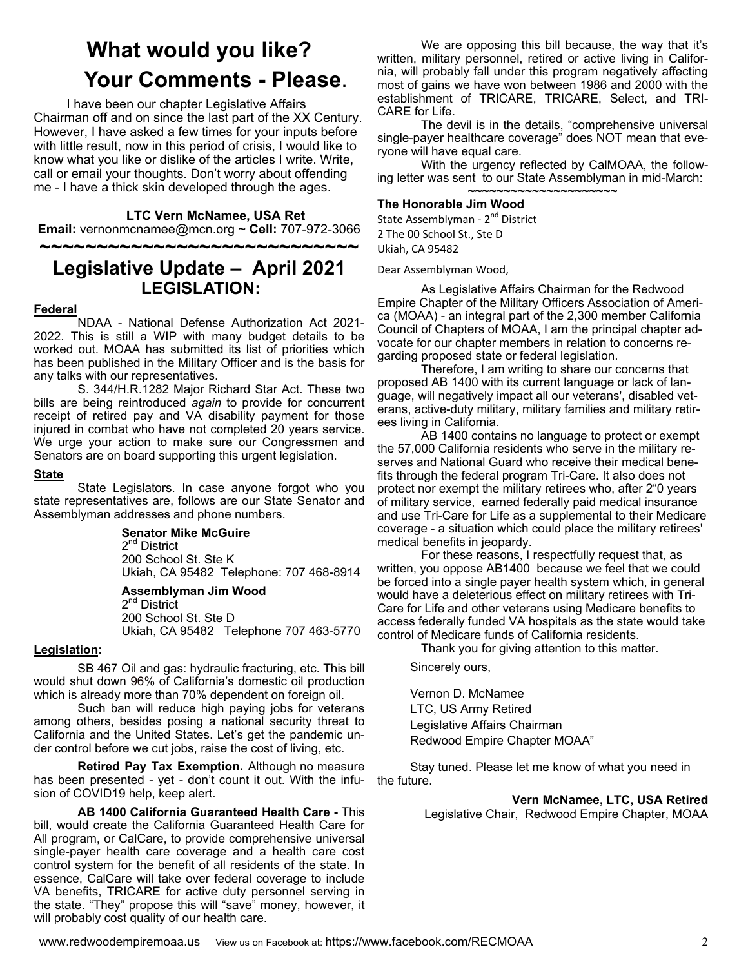# **What would you like? Your Comments - Please.**<br>I have been our chapter Legislative Affairs

Chairman off and on since the last part of the XX Century. However, I have asked a few times for your inputs before with little result, now in this period of crisis, I would like to know what you like or dislike of the articles I write. Write, call or email your thoughts. Don't worry about offending me - I have a thick skin developed through the ages.

#### **LTC Vern McNamee, USA Ret**

**Email:** vernonmcnamee@mcn.org ~ **Cell:** 707-972-3066 **~~~~~~~~~~~~~~~~~~~~~~~~~~~~** 

## **Legislative Update – April 2021 LEGISLATION:**

#### **Federal**

 NDAA - National Defense Authorization Act 2021- 2022. This is still a WIP with many budget details to be worked out. MOAA has submitted its list of priorities which has been published in the Military Officer and is the basis for any talks with our representatives.

 S. 344/H.R.1282 Major Richard Star Act. These two bills are being reintroduced *again* to provide for concurrent receipt of retired pay and VA disability payment for those injured in combat who have not completed 20 years service. We urge your action to make sure our Congressmen and Senators are on board supporting this urgent legislation.

#### **State**

 State Legislators. In case anyone forgot who you state representatives are, follows are our State Senator and Assemblyman addresses and phone numbers.

#### **Senator Mike McGuire**

2<sup>nd</sup> District 200 School St. Ste K Ukiah, CA 95482 Telephone: 707 468-8914

#### **Assemblyman Jim Wood**

2<sup>nd</sup> District 200 School St. Ste D Ukiah, CA 95482 Telephone 707 463-5770

#### **Legislation:**

 SB 467 Oil and gas: hydraulic fracturing, etc. This bill would shut down 96% of California's domestic oil production which is already more than 70% dependent on foreign oil.

 Such ban will reduce high paying jobs for veterans among others, besides posing a national security threat to California and the United States. Let's get the pandemic under control before we cut jobs, raise the cost of living, etc.

**Retired Pay Tax Exemption.** Although no measure has been presented - yet - don't count it out. With the infusion of COVID19 help, keep alert.

 **AB 1400 California Guaranteed Health Care -** This bill, would create the California Guaranteed Health Care for All program, or CalCare, to provide comprehensive universal single-payer health care coverage and a health care cost control system for the benefit of all residents of the state. In essence, CalCare will take over federal coverage to include VA benefits, TRICARE for active duty personnel serving in the state. "They" propose this will "save" money, however, it will probably cost quality of our health care.

 We are opposing this bill because, the way that it's written, military personnel, retired or active living in California, will probably fall under this program negatively affecting most of gains we have won between 1986 and 2000 with the establishment of TRICARE, TRICARE, Select, and TRI-CARE for Life.

 The devil is in the details, "comprehensive universal single-payer healthcare coverage" does NOT mean that everyone will have equal care.

 With the urgency reflected by CalMOAA, the following letter was sent to our State Assemblyman in mid-March: **~~~~~~~~~~~~~~~~~~~~~** 

#### **The Honorable Jim Wood**

State Assemblyman - 2<sup>nd</sup> District 2 The 00 School St., Ste D Ukiah, CA 95482

Dear Assemblyman Wood,

 As Legislative Affairs Chairman for the Redwood Empire Chapter of the Military Officers Association of America (MOAA) - an integral part of the 2,300 member California Council of Chapters of MOAA, I am the principal chapter advocate for our chapter members in relation to concerns regarding proposed state or federal legislation.

 Therefore, I am writing to share our concerns that proposed AB 1400 with its current language or lack of language, will negatively impact all our veterans', disabled veterans, active-duty military, military families and military retirees living in California.

 AB 1400 contains no language to protect or exempt the 57,000 California residents who serve in the military reserves and National Guard who receive their medical benefits through the federal program Tri-Care. It also does not protect nor exempt the military retirees who, after 2"0 years of military service, earned federally paid medical insurance and use Tri-Care for Life as a supplemental to their Medicare coverage - a situation which could place the military retirees' medical benefits in jeopardy.

 For these reasons, I respectfully request that, as written, you oppose AB1400 because we feel that we could be forced into a single payer health system which, in general would have a deleterious effect on military retirees with Tri-Care for Life and other veterans using Medicare benefits to access federally funded VA hospitals as the state would take control of Medicare funds of California residents.

Thank you for giving attention to this matter.

Sincerely ours,

Vernon D. McNamee LTC, US Army Retired Legislative Affairs Chairman Redwood Empire Chapter MOAA"

Stay tuned. Please let me know of what you need in the future.

> **Vern McNamee, LTC, USA Retired**  Legislative Chair, Redwood Empire Chapter, MOAA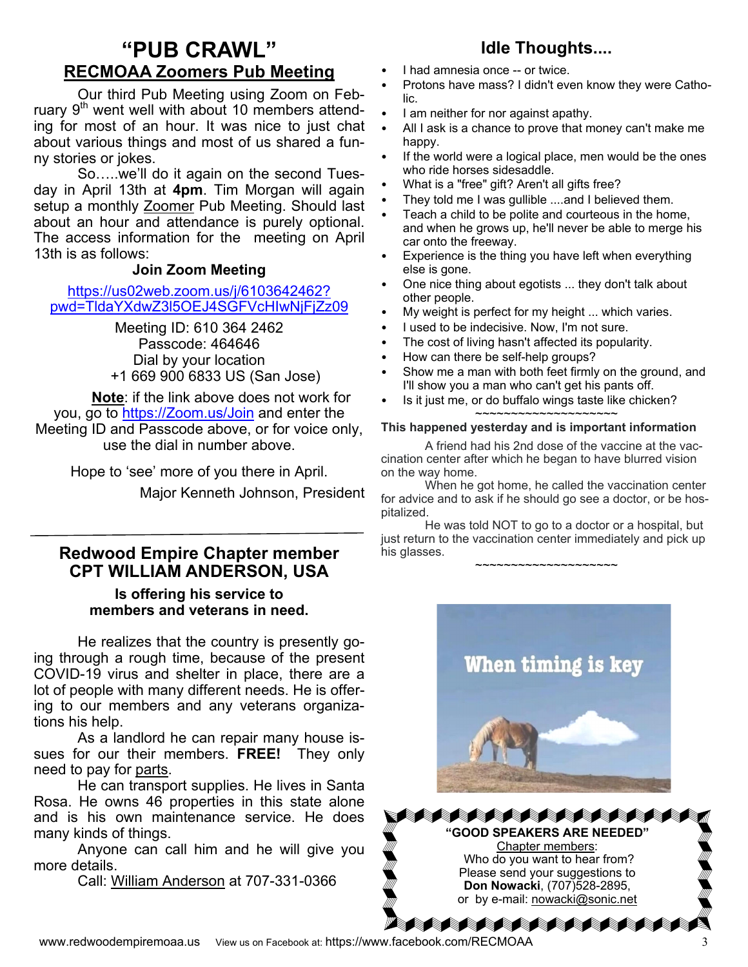## **"PUB CRAWL" RECMOAA Zoomers Pub Meeting**

Our third Pub Meeting using Zoom on February  $9<sup>th</sup>$  went well with about 10 members attending for most of an hour. It was nice to just chat about various things and most of us shared a funny stories or jokes.

 So…..we'll do it again on the second Tuesday in April 13th at **4pm**. Tim Morgan will again setup a monthly Zoomer Pub Meeting. Should last about an hour and attendance is purely optional. The access information for the meeting on April 13th is as follows:

## **Join Zoom Meeting**

https://us02web.zoom.us/j/6103642462? pwd=TldaYXdwZ3l5OEJ4SGFVcHIwNjFjZz09

> Meeting ID: 610 364 2462 Passcode: 464646 Dial by your location +1 669 900 6833 US (San Jose)

**Note**: if the link above does not work for you, go to https://Zoom.us/Join and enter the Meeting ID and Passcode above, or for voice only, use the dial in number above.

> Hope to 'see' more of you there in April. Major Kenneth Johnson, President

## **Redwood Empire Chapter member CPT WILLIAM ANDERSON, USA**

**Is offering his service to members and veterans in need.** 

 He realizes that the country is presently going through a rough time, because of the present COVID-19 virus and shelter in place, there are a lot of people with many different needs. He is offering to our members and any veterans organizations his help.

 As a landlord he can repair many house issues for our their members. **FREE!** They only need to pay for parts.

 He can transport supplies. He lives in Santa Rosa. He owns 46 properties in this state alone and is his own maintenance service. He does many kinds of things.

 Anyone can call him and he will give you more details.

Call: William Anderson at 707-331-0366

## **Idle Thoughts....**

- I had amnesia once -- or twice.
- Protons have mass? I didn't even know they were Catholic.
- I am neither for nor against apathy.
- All I ask is a chance to prove that money can't make me happy.
- If the world were a logical place, men would be the ones who ride horses sidesaddle.
- What is a "free" gift? Aren't all gifts free?
- They told me I was gullible ....and I believed them.
- Teach a child to be polite and courteous in the home, and when he grows up, he'll never be able to merge his car onto the freeway.
- Experience is the thing you have left when everything else is gone.
- One nice thing about egotists ... they don't talk about other people.
- My weight is perfect for my height ... which varies.
- I used to be indecisive. Now, I'm not sure.
- The cost of living hasn't affected its popularity.
- How can there be self-help groups?
- Show me a man with both feet firmly on the ground, and I'll show you a man who can't get his pants off.
- Is it just me, or do buffalo wings taste like chicken?

#### ~~~~~~~~~~~~~~~~~~~~ **This happened yesterday and is important information**

A friend had his 2nd dose of the vaccine at the vaccination center after which he began to have blurred vision on the way home.

 When he got home, he called the vaccination center for advice and to ask if he should go see a doctor, or be hospitalized.

 He was told NOT to go to a doctor or a hospital, but just return to the vaccination center immediately and pick up his glasses.

~~~~~~~~~~~~~~~~~~~~



**SAAAAAAAAAAAA "GOOD SPEAKERS ARE NEEDED"**  Chapter members: Who do you want to hear from? Please send your suggestions to **Don Nowacki**, (707)528-2895, or by e-mail: nowacki@sonic.net

**Matata**